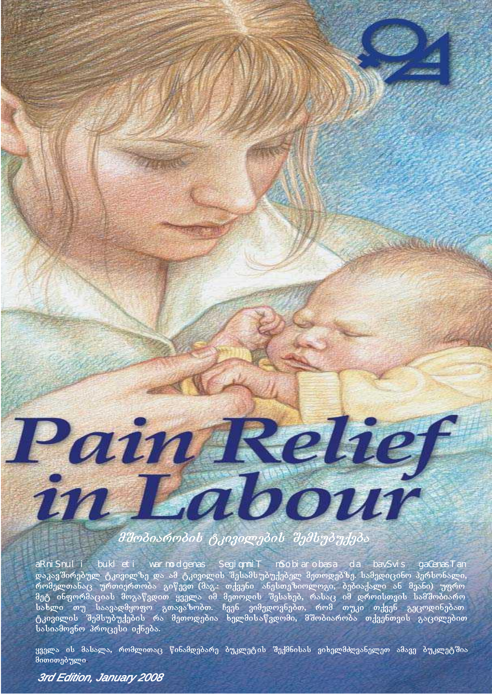

# მშოპიაროპის ტკივილეპის შემსუპუქეპა

დაკავშირებულ ტკივილზე და ამ ტკივილის შესამსუბუქებელ მეთოდებზე. სამედიცინო პერსონალი, რომელთანაც ურთიერთობა გიწევთ (მაგ.: თქვენი ანესთეზიოლოგი, ბებიაქალი ან მეანი) უფრო მეტ ინფორმაციას მოგაწვდით ყველა იმ მეთოდის შესახებ, რასაც იმ დროისთვის სამშობიარო სახლი თუ საავადმყოფო გთავაზობთ. ჩვენ ვიმედოვნებთ, რომ თუკი თქვენ გეცოდინებათ ტკივილის შემსუბუქების რა მეთოდებია ხელმისაწვდომი, მშობიარობა თქვენთვის გაცილებით  $\overline{a}$ bs $\overline{b}$ os $\overline{a}$ go amoveno processi i $\overline{a}$ aRniSnuli bukleti warmodgenas SegiqmniT mSobiarobasa da bavSvis gaCenasTan

ყველა ის მასალა, რომლითაც წინამდებარე ბუკლეტის შექმნისას ვიხელმძღვანელეთ ამავე ბუკლეტშია მითითებული

## *3rd Edition, January 2008*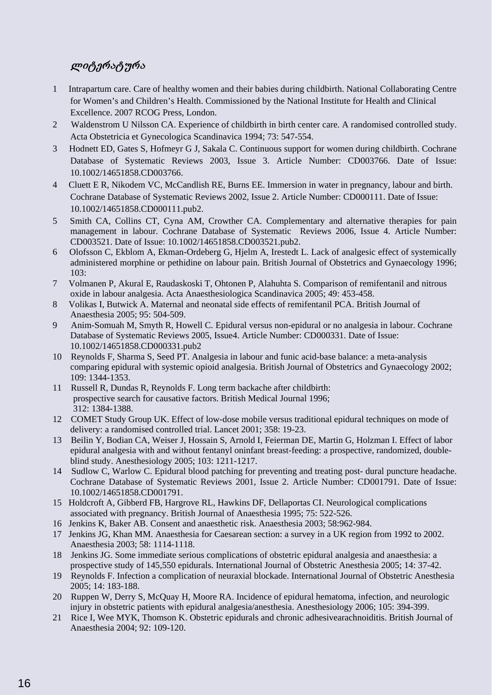## ლიტერატურა

- 1 Intrapartum care. Care of healthy women and their babies during childbirth. National Collaborating Centre for Women's and Children's Health. Commissioned by the National Institute for Health and Clinical Excellence. 2007 RCOG Press, London.
- 2 Waldenstrom U Nilsson CA. Experience of childbirth in birth center care. A randomised controlled study. Acta Obstetricia et Gynecologica Scandinavica 1994; 73: 547-554.
- 3 Hodnett ED, Gates S, Hofmeyr G J, Sakala C. Continuous support for women during childbirth. Cochrane Database of Systematic Reviews 2003, Issue 3. Article Number: CD003766. Date of Issue: 10.1002/14651858.CD003766.
- 4 Cluett E R, Nikodem VC, McCandlish RE, Burns EE. Immersion in water in pregnancy, labour and birth. Cochrane Database of Systematic Reviews 2002, Issue 2. Article Number: CD000111. Date of Issue: 10.1002/14651858.CD000111.pub2.
- 5 Smith CA, Collins CT, Cyna AM, Crowther CA. Complementary and alternative therapies for pain management in labour. Cochrane Database of Systematic Reviews 2006, Issue 4. Article Number: CD003521. Date of Issue: 10.1002/14651858.CD003521.pub2.
- 6 Olofsson C, Ekblom A, Ekman-Ordeberg G, Hjelm A, Irestedt L. Lack of analgesic effect of systemically administered morphine or pethidine on labour pain. British Journal of Obstetrics and Gynaecology 1996; 103:
- 7 Volmanen P, Akural E, Raudaskoski T, Ohtonen P, Alahuhta S. Comparison of remifentanil and nitrous oxide in labour analgesia. Acta Anaesthesiologica Scandinavica 2005; 49: 453-458.
- 8 Volikas I, Butwick A. Maternal and neonatal side effects of remifentanil PCA. British Journal of Anaesthesia 2005; 95: 504-509.
- 9 Anim-Somuah M, Smyth R, Howell C. Epidural versus non-epidural or no analgesia in labour. Cochrane Database of Systematic Reviews 2005, Issue4. Article Number: CD000331. Date of Issue: 10.1002/14651858.CD000331.pub2
- 10 Reynolds F, Sharma S, Seed PT. Analgesia in labour and funic acid-base balance: a meta-analysis comparing epidural with systemic opioid analgesia. British Journal of Obstetrics and Gynaecology 2002; 109: 1344-1353.
- 11 Russell R, Dundas R, Reynolds F. Long term backache after childbirth: prospective search for causative factors. British Medical Journal 1996; 312: 1384-1388.
- 12 COMET Study Group UK. Effect of low-dose mobile versus traditional epidural techniques on mode of delivery: a randomised controlled trial. Lancet 2001; 358: 19-23.
- 13 Beilin Y, Bodian CA, Weiser J, Hossain S, Arnold I, Feierman DE, Martin G, Holzman I. Effect of labor epidural analgesia with and without fentanyl oninfant breast-feeding: a prospective, randomized, doubleblind study. Anesthesiology 2005; 103: 1211-1217.
- 14 Sudlow C, Warlow C. Epidural blood patching for preventing and treating post- dural puncture headache. Cochrane Database of Systematic Reviews 2001, Issue 2. Article Number: CD001791. Date of Issue: 10.1002/14651858.CD001791.
- 15 Holdcroft A, Gibberd FB, Hargrove RL, Hawkins DF, Dellaportas CI. Neurological complications associated with pregnancy. British Journal of Anaesthesia 1995; 75: 522-526.
- 16 Jenkins K, Baker AB. Consent and anaesthetic risk. Anaesthesia 2003; 58:962-984.
- 17 Jenkins JG, Khan MM. Anaesthesia for Caesarean section: a survey in a UK region from 1992 to 2002. Anaesthesia 2003; 58: 1114-1118.
- 18 Jenkins JG. Some immediate serious complications of obstetric epidural analgesia and anaesthesia: a prospective study of 145,550 epidurals. International Journal of Obstetric Anesthesia 2005; 14: 37-42.
- 19 Reynolds F. Infection a complication of neuraxial blockade. International Journal of Obstetric Anesthesia 2005; 14: 183-188.
- 20 Ruppen W, Derry S, McQuay H, Moore RA. Incidence of epidural hematoma, infection, and neurologic injury in obstetric patients with epidural analgesia/anesthesia. Anesthesiology 2006; 105: 394-399.
- 21 Rice I, Wee MYK, Thomson K. Obstetric epidurals and chronic adhesivearachnoiditis. British Journal of Anaesthesia 2004; 92: 109-120.